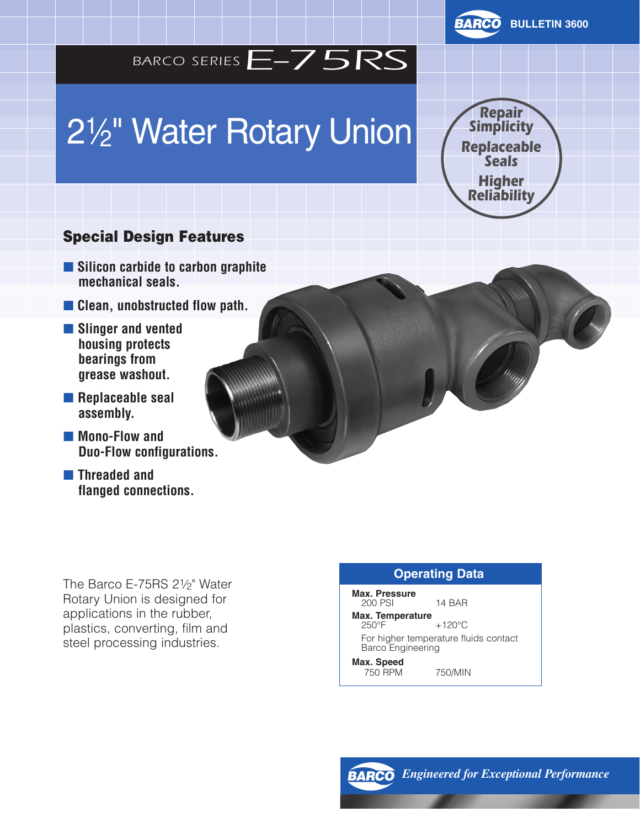

# 21⁄2 " Water Rotary Union



#### Special Design Features

- **Silicon carbide to carbon graphite mechanical seals.**
- **Clean, unobstructed flow path.**
- **Slinger and vented housing protects bearings from grease washout.**
- **Replaceable seal assembly.**
- Mono-Flow and **Duo-Flow configurations.**
- **Threaded and flanged connections.**

The Barco E-75RS 21/2" Water Rotary Union is designed for applications in the rubber, plastics, converting, film and steel processing industries.

#### **Operating Data**

**Max. Pressure** 200 PSI 14 BAR

**Max. Temperature**  $+120^{\circ}$ C For higher temperature fluids contact Barco Engineering

**Max. Speed** 750 RPM 750/MIN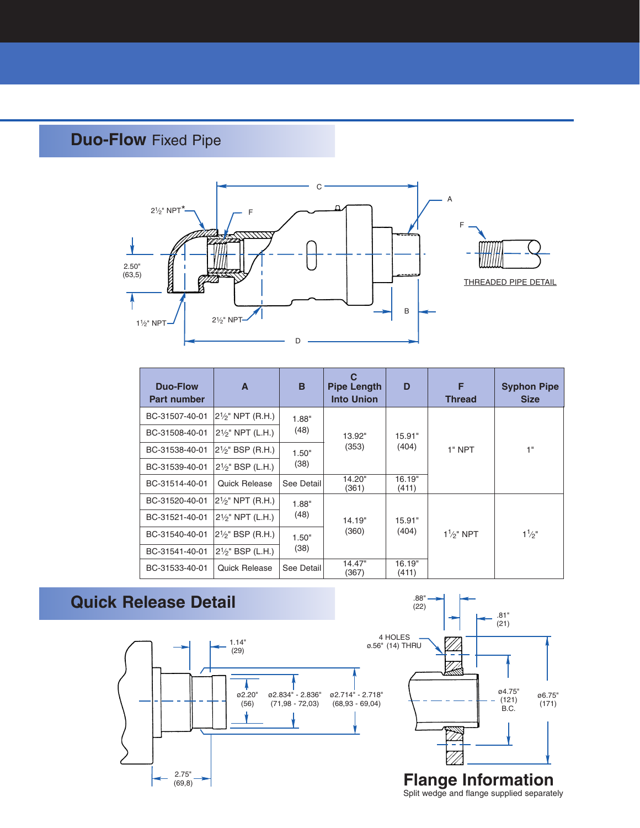#### **Duo-Flow** Fixed Pipe



| <b>Duo-Flow</b><br><b>Part number</b> | A                             | B             | <b>Pipe Length</b><br><b>Into Union</b> | D               | F<br><b>Thread</b> | <b>Syphon Pipe</b><br><b>Size</b> |
|---------------------------------------|-------------------------------|---------------|-----------------------------------------|-----------------|--------------------|-----------------------------------|
| BC-31507-40-01                        | $2\frac{1}{2}$ NPT (R.H.)     | 1.88"<br>(48) | 13.92"<br>(353)                         | 15.91"<br>(404) | 1" NPT             | 1"                                |
| BC-31508-40-01                        | $2\frac{1}{5}$ NPT (L.H.)     |               |                                         |                 |                    |                                   |
| BC-31538-40-01                        | 21/2" BSP (R.H.)              | 1.50"<br>(38) |                                         |                 |                    |                                   |
| BC-31539-40-01                        | 21/ <sub>2</sub> " BSP (L.H.) |               |                                         |                 |                    |                                   |
| BC-31514-40-01                        | <b>Quick Release</b>          | See Detail    | 14.20"<br>(361)                         | 16.19"<br>(411) |                    |                                   |
| BC-31520-40-01                        | $2\frac{1}{2}$ " NPT (R.H.)   | 1.88"<br>(48) | 14.19"<br>(360)<br>14.47"<br>(367)      |                 |                    | $1\frac{1}{2}$                    |
| BC-31521-40-01                        | $2\frac{1}{2}$ " NPT (L.H.)   |               |                                         | 15.91"          |                    |                                   |
| BC-31540-40-01                        | $2\frac{1}{2}$ " BSP (R.H.)   | 1.50"<br>(38) |                                         | (404)           | $1\frac{1}{2}$ NPT |                                   |
| BC-31541-40-01                        | 21/ <sub>2</sub> " BSP (L.H.) |               |                                         |                 |                    |                                   |
| BC-31533-40-01                        | <b>Quick Release</b>          | See Detail    |                                         | 16.19"<br>(411) |                    |                                   |

#### **Quick Release Detail**





Split wedge and flange supplied separately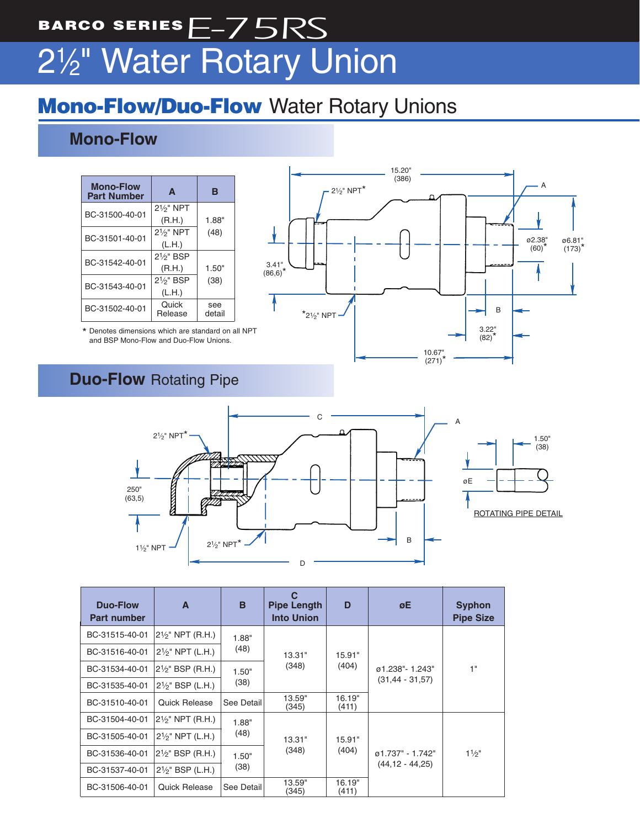## BARCO SERIES $E$ -75RS 21⁄2 " Water Rotary Union

### **Mono-Flow/Duo-Flow** Water Rotary Unions

#### **Mono-Flow**

| <b>Mono-Flow</b><br><b>Part Number</b> | A                      | в             |  |
|----------------------------------------|------------------------|---------------|--|
| BC-31500-40-01                         | 21/ <sub>2</sub> " NPT |               |  |
|                                        | (R.H.)                 | 1.88"         |  |
| BC-31501-40-01                         | 21/ <sub>2</sub> " NPT | (48)          |  |
|                                        | (L.H.)                 |               |  |
| BC-31542-40-01                         | $2\frac{1}{9}$ " BSP   |               |  |
|                                        | (R.H.)                 | 1.50"         |  |
| BC-31543-40-01                         | 21/ <sub>5</sub> " BSP | (38)          |  |
|                                        | (L.H.)                 |               |  |
| BC-31502-40-01                         | Quick<br>Release       | see<br>detail |  |

\* Denotes dimensions which are standard on all NPT and BSP Mono-Flow and Duo-Flow Unions.



#### **Duo-Flow** Rotating Pipe



| Duo-Flow<br><b>Part number</b> | A                             | B                                                 | С<br><b>Pipe Length</b><br><b>Into Union</b> | D               | øΕ                                      | <b>Syphon</b><br><b>Pipe Size</b> |
|--------------------------------|-------------------------------|---------------------------------------------------|----------------------------------------------|-----------------|-----------------------------------------|-----------------------------------|
| BC-31515-40-01                 | 21⁄ <sub>2</sub> " NPT (R.H.) | 1.88"<br>(48)<br>13.31"<br>(348)<br>1.50"<br>(38) |                                              |                 |                                         |                                   |
| BC-31516-40-01                 | $2\frac{1}{5}$ NPT (L.H.)     |                                                   | 15.91"                                       |                 |                                         |                                   |
| BC-31534-40-01                 | 21⁄2" BSP (R.H.)              |                                                   |                                              | (404)           | ø1.238"-1.243"<br>$(31, 44 - 31, 57)$   | 1"                                |
| BC-31535-40-01                 | $2\frac{1}{2}$ " BSP (L.H.)   |                                                   |                                              |                 |                                         |                                   |
| BC-31510-40-01                 | Quick Release                 | See Detail                                        | 13.59"<br>(345)                              | 16.19"<br>(411) |                                         |                                   |
| BC-31504-40-01                 | 21⁄ <sub>2</sub> " NPT (R.H.) | 1.88"<br>(48)<br>1.50"<br>(38)                    | 13.31"<br>(348)<br>13.59"<br>(345)           | 15.91"<br>(404) | ø1.737" - 1.742"<br>$(44, 12 - 44, 25)$ | $1\frac{1}{2}$                    |
| BC-31505-40-01                 | $2\frac{1}{5}$ NPT (L.H.)     |                                                   |                                              |                 |                                         |                                   |
| BC-31536-40-01                 | 21/ <sub>2</sub> " BSP (R.H.) |                                                   |                                              |                 |                                         |                                   |
| BC-31537-40-01                 | $2\frac{1}{2}$ " BSP (L.H.)   |                                                   |                                              |                 |                                         |                                   |
| BC-31506-40-01                 | <b>Quick Release</b>          | See Detail                                        |                                              | 16.19"<br>(411) |                                         |                                   |